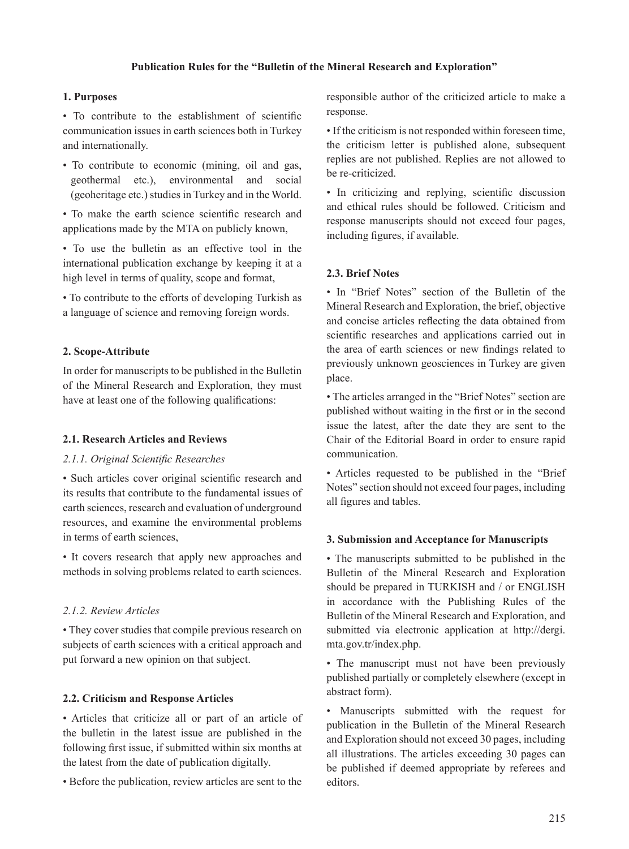## **Publication Rules for the "Bulletin of the Mineral Research and Exploration"**

## **1. Purposes**

• To contribute to the establishment of scientific communication issues in earth sciences both in Turkey and internationally.

• To contribute to economic (mining, oil and gas, geothermal etc.), environmental and social (geoheritage etc.) studies in Turkey and in the World.

• To make the earth science scientific research and applications made by the MTA on publicly known,

• To use the bulletin as an effective tool in the international publication exchange by keeping it at a high level in terms of quality, scope and format,

• To contribute to the efforts of developing Turkish as a language of science and removing foreign words.

# **2. Scope-Attribute**

In order for manuscripts to be published in the Bulletin of the Mineral Research and Exploration, they must have at least one of the following qualifications:

## **2.1. Research Articles and Reviews**

## 2.1.1. Original Scientific Researches

• Such articles cover original scientific research and its results that contribute to the fundamental issues of earth sciences, research and evaluation of underground resources, and examine the environmental problems in terms of earth sciences,

• It covers research that apply new approaches and methods in solving problems related to earth sciences.

# *2.1.2. Review Articles*

• They cover studies that compile previous research on subjects of earth sciences with a critical approach and put forward a new opinion on that subject.

# **2.2. Criticism and Response Articles**

• Articles that criticize all or part of an article of the bulletin in the latest issue are published in the following first issue, if submitted within six months at the latest from the date of publication digitally.

• Before the publication, review articles are sent to the

responsible author of the criticized article to make a response.

• If the criticism is not responded within foreseen time, the criticism letter is published alone, subsequent replies are not published. Replies are not allowed to be re-criticized.

• In criticizing and replying, scientific discussion and ethical rules should be followed. Criticism and response manuscripts should not exceed four pages, including figures, if available.

## **2.3. Brief Notes**

• In "Brief Notes" section of the Bulletin of the Mineral Research and Exploration, the brief, objective and concise articles reflecting the data obtained from scientific researches and applications carried out in the area of earth sciences or new findings related to previously unknown geosciences in Turkey are given place.

• The articles arranged in the "Brief Notes" section are published without waiting in the first or in the second issue the latest, after the date they are sent to the Chair of the Editorial Board in order to ensure rapid communication.

• Articles requested to be published in the "Brief Notes" section should not exceed four pages, including all figures and tables.

## **3. Submission and Acceptance for Manuscripts**

• The manuscripts submitted to be published in the Bulletin of the Mineral Research and Exploration should be prepared in TURKISH and / or ENGLISH in accordance with the Publishing Rules of the Bulletin of the Mineral Research and Exploration, and submitted via electronic application at http://dergi. mta.gov.tr/index.php.

• The manuscript must not have been previously published partially or completely elsewhere (except in abstract form).

• Manuscripts submitted with the request for publication in the Bulletin of the Mineral Research and Exploration should not exceed 30 pages, including all illustrations. The articles exceeding 30 pages can be published if deemed appropriate by referees and editors.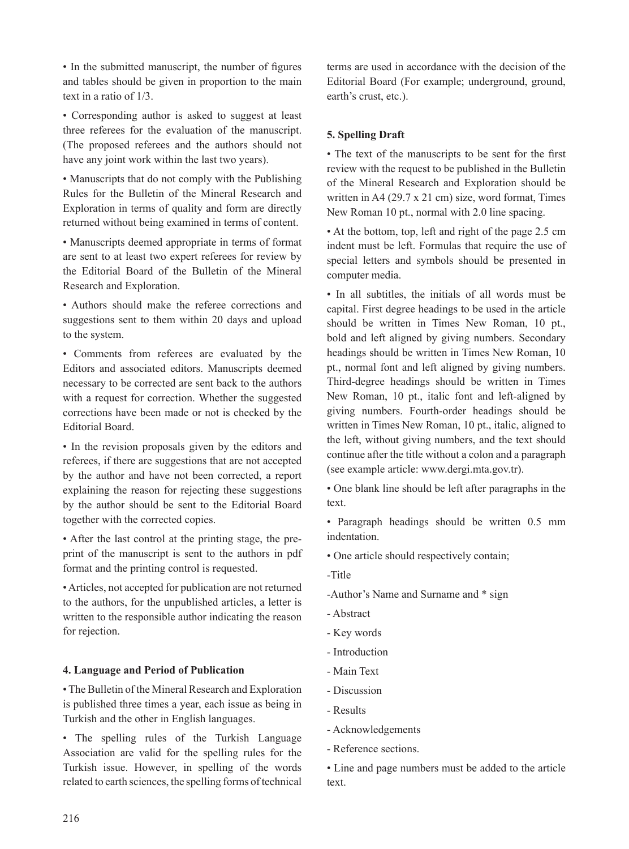• In the submitted manuscript, the number of figures and tables should be given in proportion to the main text in a ratio of 1/3.

• Corresponding author is asked to suggest at least three referees for the evaluation of the manuscript. (The proposed referees and the authors should not have any joint work within the last two years).

• Manuscripts that do not comply with the Publishing Rules for the Bulletin of the Mineral Research and Exploration in terms of quality and form are directly returned without being examined in terms of content.

• Manuscripts deemed appropriate in terms of format are sent to at least two expert referees for review by the Editorial Board of the Bulletin of the Mineral Research and Exploration.

• Authors should make the referee corrections and suggestions sent to them within 20 days and upload to the system.

• Comments from referees are evaluated by the Editors and associated editors. Manuscripts deemed necessary to be corrected are sent back to the authors with a request for correction. Whether the suggested corrections have been made or not is checked by the Editorial Board.

• In the revision proposals given by the editors and referees, if there are suggestions that are not accepted by the author and have not been corrected, a report explaining the reason for rejecting these suggestions by the author should be sent to the Editorial Board together with the corrected copies.

• After the last control at the printing stage, the preprint of the manuscript is sent to the authors in pdf format and the printing control is requested.

• Articles, not accepted for publication are not returned to the authors, for the unpublished articles, a letter is written to the responsible author indicating the reason for rejection.

## **4. Language and Period of Publication**

• The Bulletin of the Mineral Research and Exploration is published three times a year, each issue as being in Turkish and the other in English languages.

• The spelling rules of the Turkish Language Association are valid for the spelling rules for the Turkish issue. However, in spelling of the words related to earth sciences, the spelling forms of technical terms are used in accordance with the decision of the Editorial Board (For example; underground, ground, earth's crust, etc.).

## **5. Spelling Draft**

• The text of the manuscripts to be sent for the first review with the request to be published in the Bulletin of the Mineral Research and Exploration should be written in A4 (29.7 x 21 cm) size, word format, Times New Roman 10 pt., normal with 2.0 line spacing.

• At the bottom, top, left and right of the page 2.5 cm indent must be left. Formulas that require the use of special letters and symbols should be presented in computer media.

• In all subtitles, the initials of all words must be capital. First degree headings to be used in the article should be written in Times New Roman, 10 pt., bold and left aligned by giving numbers. Secondary headings should be written in Times New Roman, 10 pt., normal font and left aligned by giving numbers. Third-degree headings should be written in Times New Roman, 10 pt., italic font and left-aligned by giving numbers. Fourth-order headings should be written in Times New Roman, 10 pt., italic, aligned to the left, without giving numbers, and the text should continue after the title without a colon and a paragraph (see example article: www.dergi.mta.gov.tr).

• One blank line should be left after paragraphs in the text.

• Paragraph headings should be written 0.5 mm indentation.

- One article should respectively contain;
- -Title
- -Author's Name and Surname and \* sign
- Abstract
- Key words
- Introduction
- Main Text
- Discussion
- Results
- Acknowledgements
- Reference sections.

• Line and page numbers must be added to the article text.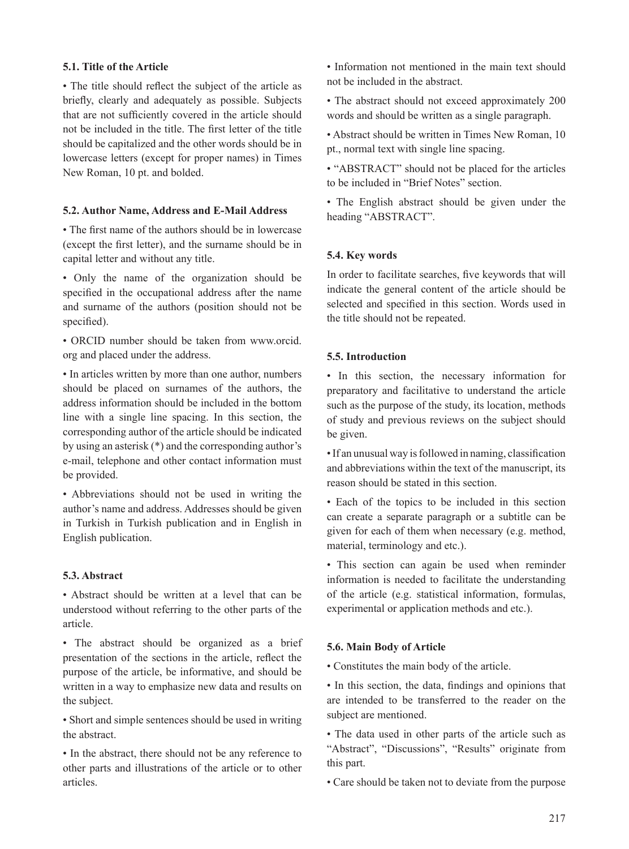## **5.1. Title of the Article**

• The title should reflect the subject of the article as briefly, clearly and adequately as possible. Subjects that are not sufficiently covered in the article should not be included in the title. The first letter of the title should be capitalized and the other words should be in lowercase letters (except for proper names) in Times New Roman, 10 pt. and bolded.

## **5.2. Author Name, Address and E-Mail Address**

• The first name of the authors should be in lowercase (except the first letter), and the surname should be in capital letter and without any title.

• Only the name of the organization should be specified in the occupational address after the name and surname of the authors (position should not be specified).

• ORCID number should be taken from www.orcid. org and placed under the address.

• In articles written by more than one author, numbers should be placed on surnames of the authors, the address information should be included in the bottom line with a single line spacing. In this section, the corresponding author of the article should be indicated by using an asterisk (\*) and the corresponding author's e-mail, telephone and other contact information must be provided.

• Abbreviations should not be used in writing the author's name and address. Addresses should be given in Turkish in Turkish publication and in English in English publication.

# **5.3. Abstract**

• Abstract should be written at a level that can be understood without referring to the other parts of the article.

• The abstract should be organized as a brief presentation of the sections in the article, reflect the purpose of the article, be informative, and should be written in a way to emphasize new data and results on the subject.

• Short and simple sentences should be used in writing the abstract.

• In the abstract, there should not be any reference to other parts and illustrations of the article or to other articles.

• Information not mentioned in the main text should not be included in the abstract.

• The abstract should not exceed approximately 200 words and should be written as a single paragraph.

• Abstract should be written in Times New Roman, 10 pt., normal text with single line spacing.

• "ABSTRACT" should not be placed for the articles to be included in "Brief Notes" section.

• The English abstract should be given under the heading "ABSTRACT".

# **5.4. Key words**

In order to facilitate searches, five keywords that will indicate the general content of the article should be selected and specified in this section. Words used in the title should not be repeated.

## **5.5. Introduction**

• In this section, the necessary information for preparatory and facilitative to understand the article such as the purpose of the study, its location, methods of study and previous reviews on the subject should be given.

• If an unusual way is followed in naming, classification and abbreviations within the text of the manuscript, its reason should be stated in this section.

• Each of the topics to be included in this section can create a separate paragraph or a subtitle can be given for each of them when necessary (e.g. method, material, terminology and etc.).

• This section can again be used when reminder information is needed to facilitate the understanding of the article (e.g. statistical information, formulas, experimental or application methods and etc.).

## **5.6. Main Body of Article**

• Constitutes the main body of the article.

• In this section, the data, findings and opinions that are intended to be transferred to the reader on the subject are mentioned.

• The data used in other parts of the article such as "Abstract", "Discussions", "Results" originate from this part.

• Care should be taken not to deviate from the purpose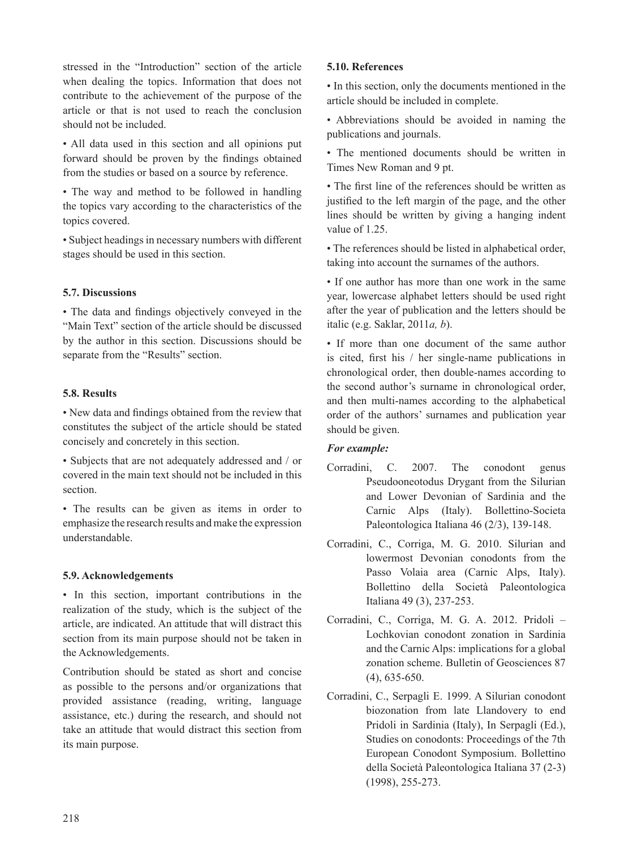stressed in the "Introduction" section of the article when dealing the topics. Information that does not contribute to the achievement of the purpose of the article or that is not used to reach the conclusion should not be included.

• All data used in this section and all opinions put forward should be proven by the findings obtained from the studies or based on a source by reference.

• The way and method to be followed in handling the topics vary according to the characteristics of the topics covered.

• Subject headings in necessary numbers with different stages should be used in this section.

## **5.7. Discussions**

• The data and findings objectively conveyed in the "Main Text" section of the article should be discussed by the author in this section. Discussions should be separate from the "Results" section.

## **5.8. Results**

• New data and findings obtained from the review that constitutes the subject of the article should be stated concisely and concretely in this section.

• Subjects that are not adequately addressed and / or covered in the main text should not be included in this section.

• The results can be given as items in order to emphasize the research results and make the expression understandable.

# **5.9. Acknowledgements**

• In this section, important contributions in the realization of the study, which is the subject of the article, are indicated. An attitude that will distract this section from its main purpose should not be taken in the Acknowledgements.

Contribution should be stated as short and concise as possible to the persons and/or organizations that provided assistance (reading, writing, language assistance, etc.) during the research, and should not take an attitude that would distract this section from its main purpose.

## **5.10. References**

• In this section, only the documents mentioned in the article should be included in complete.

• Abbreviations should be avoided in naming the publications and journals.

• The mentioned documents should be written in Times New Roman and 9 pt.

• The first line of the references should be written as justified to the left margin of the page, and the other lines should be written by giving a hanging indent value of 1.25.

• The references should be listed in alphabetical order, taking into account the surnames of the authors.

• If one author has more than one work in the same year, lowercase alphabet letters should be used right after the year of publication and the letters should be italic (e.g. Saklar, 2011*a, b*).

• If more than one document of the same author is cited, first his  $/$  her single-name publications in chronological order, then double-names according to the second author's surname in chronological order, and then multi-names according to the alphabetical order of the authors' surnames and publication year should be given.

## *For example:*

- Corradini, C. 2007. The conodont genus Pseudooneotodus Drygant from the Silurian and Lower Devonian of Sardinia and the Carnic Alps (Italy). Bollettino-Societa Paleontologica Italiana 46 (2/3), 139-148.
- Corradini, C., Corriga, M. G. 2010. Silurian and lowermost Devonian conodonts from the Passo Volaia area (Carnic Alps, Italy). Bollettino della Società Paleontologica Italiana 49 (3), 237-253.
- Corradini, C., Corriga, M. G. A. 2012. Pridoli Lochkovian conodont zonation in Sardinia and the Carnic Alps: implications for a global zonation scheme. Bulletin of Geosciences 87 (4), 635-650.
- Corradini, C., Serpagli E. 1999. A Silurian conodont biozonation from late Llandovery to end Pridoli in Sardinia (Italy), In Serpagli (Ed.), Studies on conodonts: Proceedings of the 7th European Conodont Symposium. Bollettino della Società Paleontologica Italiana 37 (2-3) (1998), 255-273.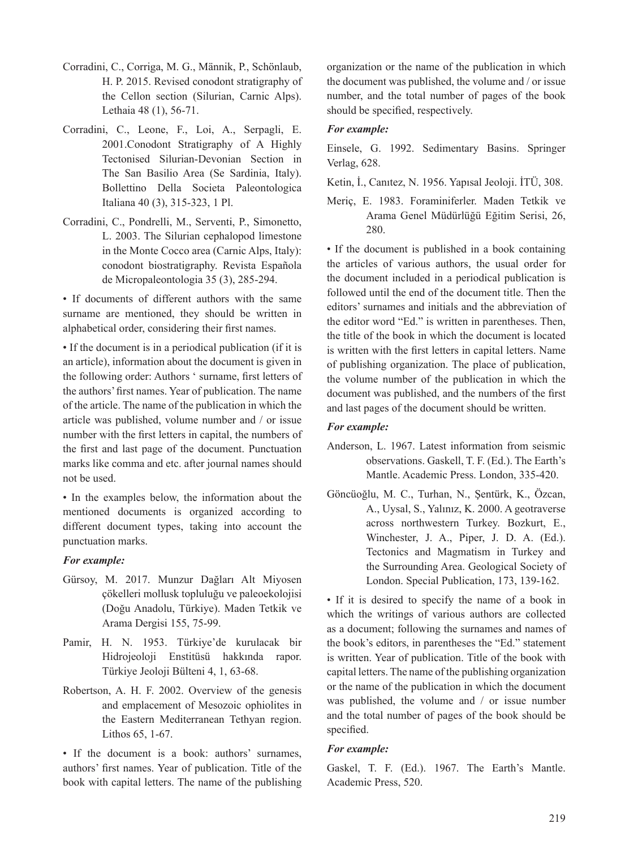- Corradini, C., Corriga, M. G., Männik, P., Schönlaub, H. P. 2015. Revised conodont stratigraphy of the Cellon section (Silurian, Carnic Alps). Lethaia 48 (1), 56-71.
- Corradini, C., Leone, F., Loi, A., Serpagli, E. 2001.Conodont Stratigraphy of A Highly Tectonised Silurian-Devonian Section in The San Basilio Area (Se Sardinia, Italy). Bollettino Della Societa Paleontologica Italiana 40 (3), 315-323, 1 Pl.
- Corradini, C., Pondrelli, M., Serventi, P., Simonetto, L. 2003. The Silurian cephalopod limestone in the Monte Cocco area (Carnic Alps, Italy): conodont biostratigraphy. Revista Española de Micropaleontologia 35 (3), 285-294.

• If documents of different authors with the same surname are mentioned, they should be written in alphabetical order, considering their first names.

• If the document is in a periodical publication (if it is an article), information about the document is given in the following order: Authors ' surname, first letters of the authors' first names. Year of publication. The name of the article. The name of the publication in which the article was published, volume number and / or issue number with the first letters in capital, the numbers of the first and last page of the document. Punctuation marks like comma and etc. after journal names should not be used.

• In the examples below, the information about the mentioned documents is organized according to different document types, taking into account the punctuation marks.

## *For example:*

- Gürsoy, M. 2017. Munzur Dağları Alt Miyosen çökelleri mollusk topluluğu ve paleoekolojisi (Doğu Anadolu, Türkiye). Maden Tetkik ve Arama Dergisi 155, 75-99.
- Pamir, H. N. 1953. Türkiye'de kurulacak bir Hidrojeoloji Enstitüsü hakkında rapor. Türkiye Jeoloji Bülteni 4, 1, 63-68.
- Robertson, A. H. F. 2002. Overview of the genesis and emplacement of Mesozoic ophiolites in the Eastern Mediterranean Tethyan region. Lithos 65, 1-67.

• If the document is a book: authors' surnames, authors' first names. Year of publication. Title of the book with capital letters. The name of the publishing organization or the name of the publication in which the document was published, the volume and / or issue number, and the total number of pages of the book should be specified, respectively.

## *For example:*

Einsele, G. 1992. Sedimentary Basins. Springer Verlag, 628.

Ketin, İ., Canıtez, N. 1956. Yapısal Jeoloji. İTÜ, 308.

Meriç, E. 1983. Foraminiferler. Maden Tetkik ve Arama Genel Müdürlüğü Eğitim Serisi, 26, 280.

• If the document is published in a book containing the articles of various authors, the usual order for the document included in a periodical publication is followed until the end of the document title. Then the editors' surnames and initials and the abbreviation of the editor word "Ed." is written in parentheses. Then, the title of the book in which the document is located is written with the first letters in capital letters. Name of publishing organization. The place of publication, the volume number of the publication in which the document was published, and the numbers of the first and last pages of the document should be written.

# *For example:*

- Anderson, L. 1967. Latest information from seismic observations. Gaskell, T. F. (Ed.). The Earth's Mantle. Academic Press. London, 335-420.
- Göncüoğlu, M. C., Turhan, N., Şentürk, K., Özcan, A., Uysal, S., Yalınız, K. 2000. A geotraverse across northwestern Turkey. Bozkurt, E., Winchester, J. A., Piper, J. D. A. (Ed.). Tectonics and Magmatism in Turkey and the Surrounding Area. Geological Society of London. Special Publication, 173, 139-162.

• If it is desired to specify the name of a book in which the writings of various authors are collected as a document; following the surnames and names of the book's editors, in parentheses the "Ed." statement is written. Year of publication. Title of the book with capital letters. The name of the publishing organization or the name of the publication in which the document was published, the volume and / or issue number and the total number of pages of the book should be specified.

## *For example:*

Gaskel, T. F. (Ed.). 1967. The Earth's Mantle. Academic Press, 520.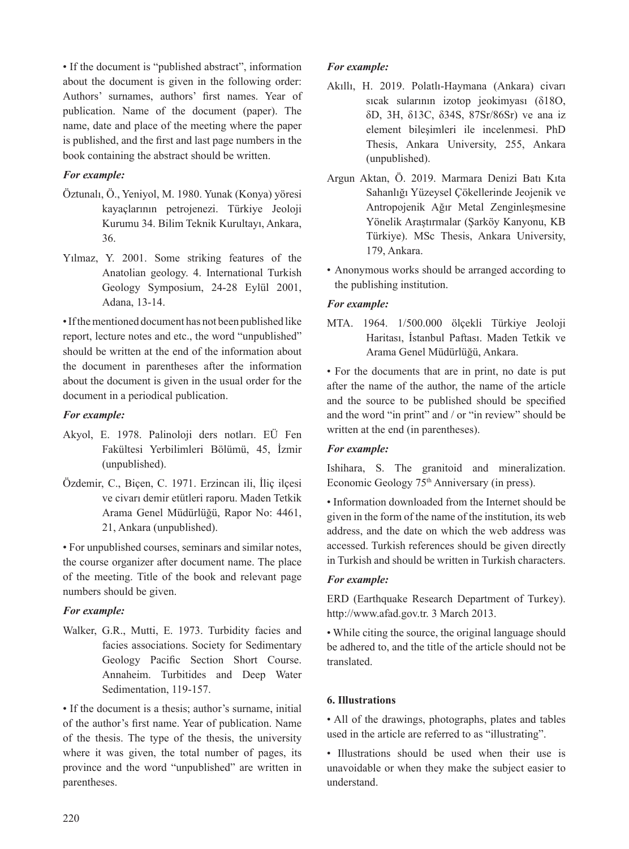• If the document is "published abstract", information about the document is given in the following order: Authors' surnames, authors' first names. Year of publication. Name of the document (paper). The name, date and place of the meeting where the paper is published, and the first and last page numbers in the book containing the abstract should be written.

## *For example:*

- Öztunalı, Ö., Yeniyol, M. 1980. Yunak (Konya) yöresi kayaçlarının petrojenezi. Türkiye Jeoloji Kurumu 34. Bilim Teknik Kurultayı, Ankara, 36.
- Yılmaz, Y. 2001. Some striking features of the Anatolian geology. 4. International Turkish Geology Symposium, 24-28 Eylül 2001, Adana, 13-14.

• If the mentioned document has not been published like report, lecture notes and etc., the word "unpublished" should be written at the end of the information about the document in parentheses after the information about the document is given in the usual order for the document in a periodical publication.

## *For example:*

- Akyol, E. 1978. Palinoloji ders notları. EÜ Fen Fakültesi Yerbilimleri Bölümü, 45, İzmir (unpublished).
- Özdemir, C., Biçen, C. 1971. Erzincan ili, İliç ilçesi ve civarı demir etütleri raporu. Maden Tetkik Arama Genel Müdürlüğü, Rapor No: 4461, 21, Ankara (unpublished).

• For unpublished courses, seminars and similar notes, the course organizer after document name. The place of the meeting. Title of the book and relevant page numbers should be given.

# *For example:*

Walker, G.R., Mutti, E. 1973. Turbidity facies and facies associations. Society for Sedimentary Geology Pacific Section Short Course. Annaheim. Turbitides and Deep Water Sedimentation, 119-157.

• If the document is a thesis; author's surname, initial of the author's first name. Year of publication. Name of the thesis. The type of the thesis, the university where it was given, the total number of pages, its province and the word "unpublished" are written in parentheses.

## *For example:*

- Akıllı, H. 2019. Polatlı-Haymana (Ankara) civarı sıcak sularının izotop jeokimyası (δ18O, δD, 3H, δ13C, δ34S, 87Sr/86Sr) ve ana iz element bileşimleri ile incelenmesi. PhD Thesis, Ankara University, 255, Ankara (unpublished).
- Argun Aktan, Ö. 2019. Marmara Denizi Batı Kıta Sahanlığı Yüzeysel Çökellerinde Jeojenik ve Antropojenik Ağır Metal Zenginleşmesine Yönelik Araştırmalar (Şarköy Kanyonu, KB Türkiye). MSc Thesis, Ankara University, 179, Ankara.
- Anonymous works should be arranged according to the publishing institution.

## *For example:*

MTA. 1964. 1/500.000 ölçekli Türkiye Jeoloji Haritası, İstanbul Paftası. Maden Tetkik ve Arama Genel Müdürlüğü, Ankara.

• For the documents that are in print, no date is put after the name of the author, the name of the article and the source to be published should be specified and the word "in print" and / or "in review" should be written at the end (in parentheses).

## *For example:*

Ishihara, S. The granitoid and mineralization. Economic Geology 75th Anniversary (in press).

• Information downloaded from the Internet should be given in the form of the name of the institution, its web address, and the date on which the web address was accessed. Turkish references should be given directly in Turkish and should be written in Turkish characters.

## *For example:*

ERD (Earthquake Research Department of Turkey). http://www.afad.gov.tr. 3 March 2013.

• While citing the source, the original language should be adhered to, and the title of the article should not be translated.

## **6. Illustrations**

• All of the drawings, photographs, plates and tables used in the article are referred to as "illustrating".

• Illustrations should be used when their use is unavoidable or when they make the subject easier to understand.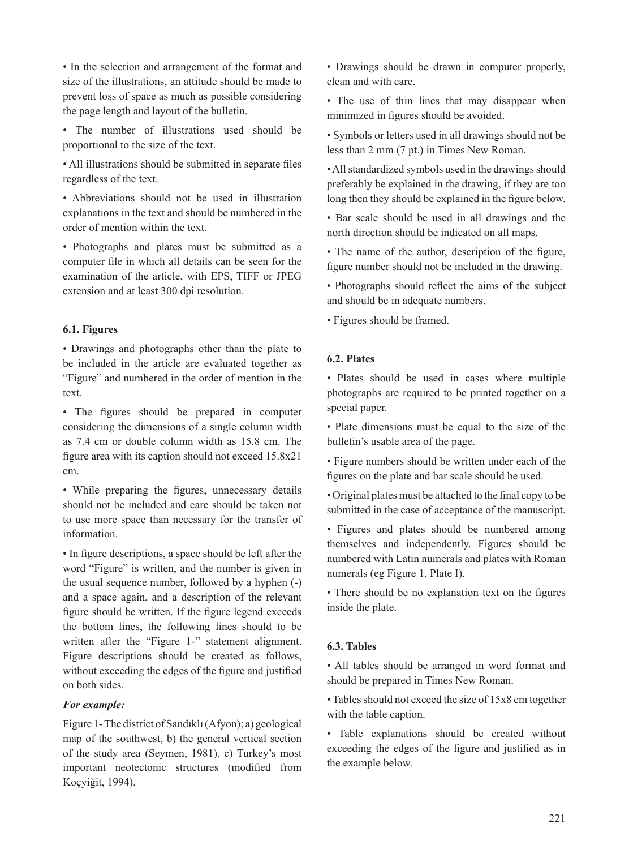• In the selection and arrangement of the format and size of the illustrations, an attitude should be made to prevent loss of space as much as possible considering the page length and layout of the bulletin.

• The number of illustrations used should be proportional to the size of the text.

• All illustrations should be submitted in separate files regardless of the text.

• Abbreviations should not be used in illustration explanations in the text and should be numbered in the order of mention within the text.

• Photographs and plates must be submitted as a computer file in which all details can be seen for the examination of the article, with EPS, TIFF or JPEG extension and at least 300 dpi resolution.

## **6.1. Figures**

• Drawings and photographs other than the plate to be included in the article are evaluated together as "Figure" and numbered in the order of mention in the text.

• The figures should be prepared in computer considering the dimensions of a single column width as 7.4 cm or double column width as 15.8 cm. The figure area with its caption should not exceed  $15.8x21$ cm.

• While preparing the figures, unnecessary details should not be included and care should be taken not to use more space than necessary for the transfer of information.

• In figure descriptions, a space should be left after the word "Figure" is written, and the number is given in the usual sequence number, followed by a hyphen (-) and a space again, and a description of the relevant figure should be written. If the figure legend exceeds the bottom lines, the following lines should to be written after the "Figure 1-" statement alignment. Figure descriptions should be created as follows, without exceeding the edges of the figure and justified on both sides.

## *For example:*

Figure 1- The district of Sandıklı (Afyon); a) geological map of the southwest, b) the general vertical section of the study area (Seymen, 1981), c) Turkey's most important neotectonic structures (modified from Koçyiğit, 1994).

• Drawings should be drawn in computer properly, clean and with care.

• The use of thin lines that may disappear when minimized in figures should be avoided.

• Symbols or letters used in all drawings should not be less than 2 mm (7 pt.) in Times New Roman.

• All standardized symbols used in the drawings should preferably be explained in the drawing, if they are too long then they should be explained in the figure below.

• Bar scale should be used in all drawings and the north direction should be indicated on all maps.

• The name of the author, description of the figure, figure number should not be included in the drawing.

• Photographs should reflect the aims of the subject and should be in adequate numbers.

• Figures should be framed.

## **6.2. Plates**

• Plates should be used in cases where multiple photographs are required to be printed together on a special paper.

• Plate dimensions must be equal to the size of the bulletin's usable area of the page.

• Figure numbers should be written under each of the figures on the plate and bar scale should be used.

• Original plates must be attached to the final copy to be submitted in the case of acceptance of the manuscript.

• Figures and plates should be numbered among themselves and independently. Figures should be numbered with Latin numerals and plates with Roman numerals (eg Figure 1, Plate I).

• There should be no explanation text on the figures inside the plate.

## **6.3. Tables**

• All tables should be arranged in word format and should be prepared in Times New Roman.

• Tables should not exceed the size of 15x8 cm together with the table caption.

• Table explanations should be created without exceeding the edges of the figure and justified as in the example below.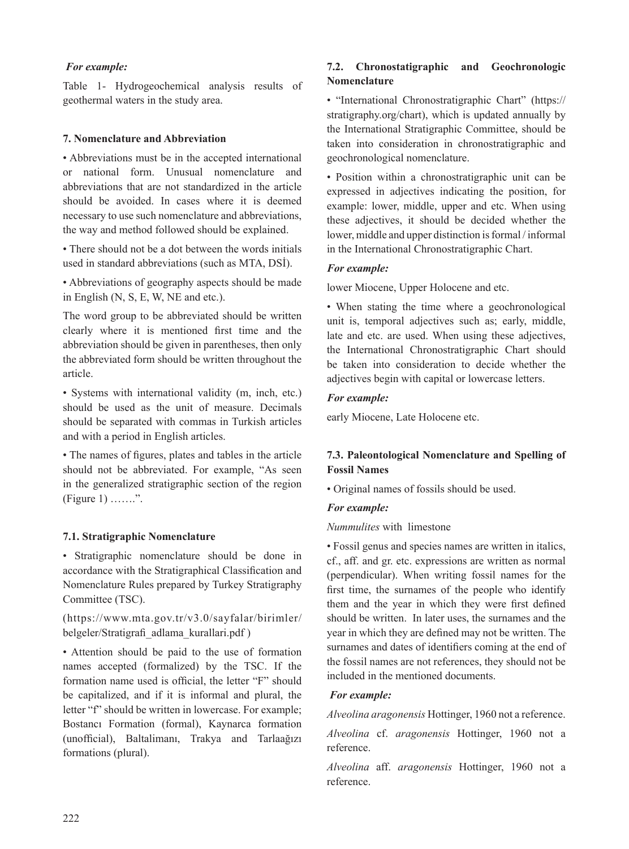# *For example:*

Table 1- Hydrogeochemical analysis results of geothermal waters in the study area.

#### **7. Nomenclature and Abbreviation**

• Abbreviations must be in the accepted international or national form. Unusual nomenclature and abbreviations that are not standardized in the article should be avoided. In cases where it is deemed necessary to use such nomenclature and abbreviations, the way and method followed should be explained.

• There should not be a dot between the words initials used in standard abbreviations (such as MTA, DSİ).

• Abbreviations of geography aspects should be made in English (N, S, E, W, NE and etc.).

The word group to be abbreviated should be written clearly where it is mentioned first time and the abbreviation should be given in parentheses, then only the abbreviated form should be written throughout the article.

• Systems with international validity (m, inch, etc.) should be used as the unit of measure. Decimals should be separated with commas in Turkish articles and with a period in English articles.

• The names of figures, plates and tables in the article should not be abbreviated. For example, "As seen in the generalized stratigraphic section of the region  $(Figure 1)$  .......".

#### **7.1. Stratigraphic Nomenclature**

• Stratigraphic nomenclature should be done in accordance with the Stratigraphical Classification and Nomenclature Rules prepared by Turkey Stratigraphy Committee (TSC).

(https://www.mta.gov.tr/v3.0/sayfalar/birimler/ belgeler/Stratigrafi \_adlama\_kurallari.pdf )

• Attention should be paid to the use of formation names accepted (formalized) by the TSC. If the formation name used is official, the letter "F" should be capitalized, and if it is informal and plural, the letter "f" should be written in lowercase. For example; Bostancı Formation (formal), Kaynarca formation (unofficial), Baltalimanı, Trakya and Tarlaağızı formations (plural).

# **7.2. Chronostatigraphic and Geochronologic Nomenclature**

• "International Chronostratigraphic Chart" (https:// stratigraphy.org/chart), which is updated annually by the International Stratigraphic Committee, should be taken into consideration in chronostratigraphic and geochronological nomenclature.

• Position within a chronostratigraphic unit can be expressed in adjectives indicating the position, for example: lower, middle, upper and etc. When using these adjectives, it should be decided whether the lower, middle and upper distinction is formal / informal in the International Chronostratigraphic Chart.

#### *For example:*

lower Miocene, Upper Holocene and etc.

• When stating the time where a geochronological unit is, temporal adjectives such as; early, middle, late and etc. are used. When using these adjectives, the International Chronostratigraphic Chart should be taken into consideration to decide whether the adjectives begin with capital or lowercase letters.

#### *For example:*

early Miocene, Late Holocene etc.

# **7.3. Paleontological Nomenclature and Spelling of Fossil Names**

• Original names of fossils should be used.

#### *For example:*

*Nummulites* with limestone

• Fossil genus and species names are written in italics, cf., aff. and gr. etc. expressions are written as normal (perpendicular). When writing fossil names for the first time, the surnames of the people who identify them and the year in which they were first defined should be written. In later uses, the surnames and the year in which they are defined may not be written. The surnames and dates of identifiers coming at the end of the fossil names are not references, they should not be included in the mentioned documents.

## *For example:*

*Alveolina aragonensis* Hottinger, 1960 not a reference.

*Alveolina* cf. *aragonensis* Hottinger, 1960 not a reference.

*Alveolina* aff. *aragonensis* Hottinger, 1960 not a reference.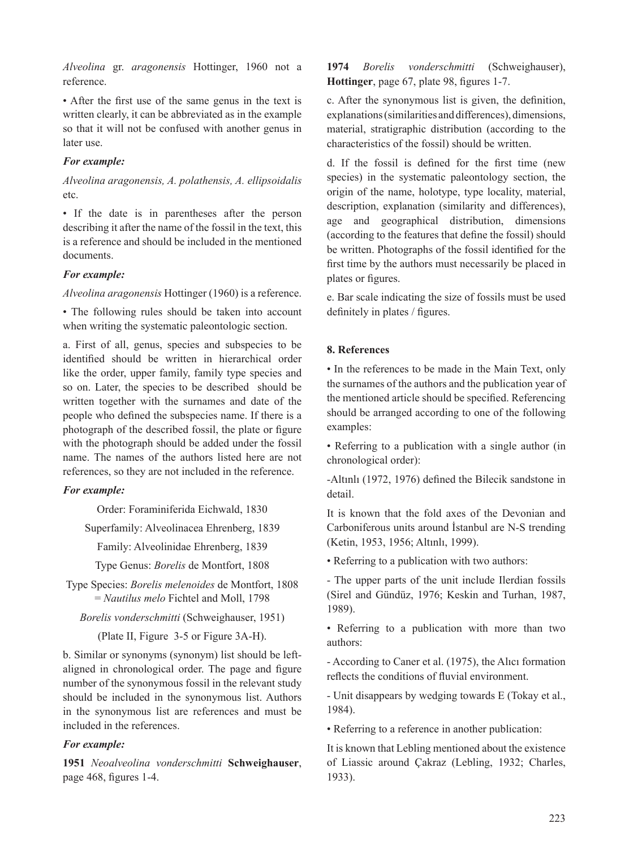*Alveolina* gr. *aragonensis* Hottinger, 1960 not a reference.

• After the first use of the same genus in the text is written clearly, it can be abbreviated as in the example so that it will not be confused with another genus in later use.

## *For example:*

*Alveolina aragonensis, A. polathensis, A. ellipsoidalis*  etc.

• If the date is in parentheses after the person describing it after the name of the fossil in the text, this is a reference and should be included in the mentioned documents.

## *For example:*

*Alveolina aragonensis* Hottinger (1960) is a reference.

• The following rules should be taken into account when writing the systematic paleontologic section.

a. First of all, genus, species and subspecies to be identified should be written in hierarchical order like the order, upper family, family type species and so on. Later, the species to be described should be written together with the surnames and date of the people who defined the subspecies name. If there is a photograph of the described fossil, the plate or figure with the photograph should be added under the fossil name. The names of the authors listed here are not references, so they are not included in the reference.

## *For example:*

Order: Foraminiferida Eichwald, 1830

Superfamily: Alveolinacea Ehrenberg, 1839

Family: Alveolinidae Ehrenberg, 1839

Type Genus: *Borelis* de Montfort, 1808

Type Species: *Borelis melenoides* de Montfort, 1808 = *Nautilus melo* Fichtel and Moll, 1798

*Borelis vonderschmitti* (Schweighauser, 1951)

(Plate II, Figure 3-5 or Figure 3A-H).

b. Similar or synonyms (synonym) list should be leftaligned in chronological order. The page and figure number of the synonymous fossil in the relevant study should be included in the synonymous list. Authors in the synonymous list are references and must be included in the references.

## *For example:*

**1951** *Neoalveolina vonderschmitti* **Schweighauser**, page 468, figures 1-4.

**1974** *Borelis vonderschmitti* (Schweighauser), **Hottinger**, page 67, plate 98, figures 1-7.

c. After the synonymous list is given, the definition, explanations (similarities and differences), dimensions, material, stratigraphic distribution (according to the characteristics of the fossil) should be written.

d. If the fossil is defined for the first time (new species) in the systematic paleontology section, the origin of the name, holotype, type locality, material, description, explanation (similarity and differences), age and geographical distribution, dimensions (according to the features that define the fossil) should be written. Photographs of the fossil identified for the first time by the authors must necessarily be placed in plates or figures.

e. Bar scale indicating the size of fossils must be used definitely in plates / figures.

## **8. References**

• In the references to be made in the Main Text, only the surnames of the authors and the publication year of the mentioned article should be specified. Referencing should be arranged according to one of the following examples:

• Referring to a publication with a single author (in chronological order):

-Altınlı (1972, 1976) defined the Bilecik sandstone in detail.

It is known that the fold axes of the Devonian and Carboniferous units around İstanbul are N-S trending (Ketin, 1953, 1956; Altınlı, 1999).

• Referring to a publication with two authors:

- The upper parts of the unit include Ilerdian fossils (Sirel and Gündüz, 1976; Keskin and Turhan, 1987, 1989).

• Referring to a publication with more than two authors:

- According to Caner et al. (1975), the Alıcı formation reflects the conditions of fluvial environment.

- Unit disappears by wedging towards E (Tokay et al., 1984).

• Referring to a reference in another publication:

It is known that Lebling mentioned about the existence of Liassic around Çakraz (Lebling, 1932; Charles, 1933).